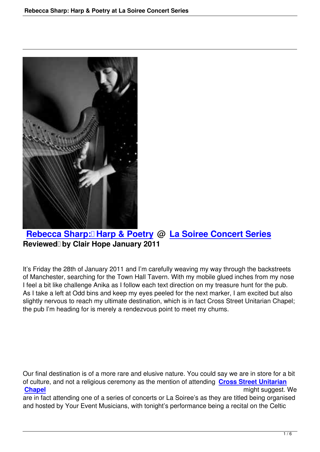

## **Rebecca Sharp: Harp & Poetry @ La Soiree Concert Series Reviewed by Clair Hope January 2011**

It's Friday the 28th of January 2011 and I'm carefully weaving my way through the backstreets of Manchester, searching for the Town Hall Tavern. With my mobile glued inches from my nose I feel a bit like challenge Anika as I follow each text direction on my treasure hunt for the pub. As I take a left at Odd bins and keep my eyes peeled for the next marker, I am excited but also slightly nervous to reach my ultimate destination, which is in fact Cross Street Unitarian Chapel; the pub I'm heading for is merely a rendezvous point to meet my chums.

Our final destination is of a more rare and elusive nature. You could say we are in store for a bit of culture, and not a religious ceremony as the mention of attending **Cross Street Unitarian Chapel** might suggest. We

are in fact attending one of a series of concerts or La Soiree's as they are titled being organised and hosted by Your Event Musicians, with tonight's performance bei[ng a recital on the Celtic](http://maps.google.co.uk/maps?f=q&source=s_q&hl=en&geocode=&q=M2+1NL&sll=53.800651,-4.064941&sspn=14.902362,37.001953&ie=UTF8&hq=&hnear=Manchester+M2+1NL,+United+Kingdom&z=16)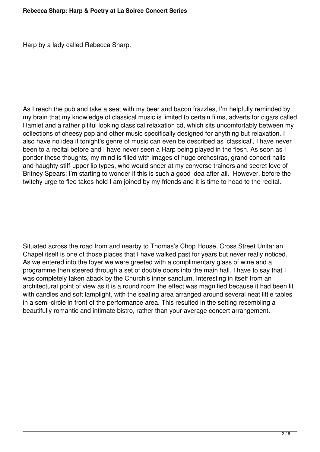Harp by a lady called Rebecca Sharp.

As I reach the pub and take a seat with my beer and bacon frazzles, I'm helpfully reminded by my brain that my knowledge of classical music is limited to certain films, adverts for cigars called Hamlet and a rather pitiful looking classical relaxation cd, which sits uncomfortably between my collections of cheesy pop and other music specifically designed for anything but relaxation. I also have no idea if tonight's genre of music can even be described as 'classical', I have never been to a recital before and I have never seen a Harp being played in the flesh. As soon as I ponder these thoughts, my mind is filled with images of huge orchestras, grand concert halls and haughty stiff-upper lip types, who would sneer at my converse trainers and secret love of Britney Spears; I'm starting to wonder if this is such a good idea after all. However, before the twitchy urge to flee takes hold I am joined by my friends and it is time to head to the recital.

Situated across the road from and nearby to Thomas's Chop House, Cross Street Unitarian Chapel itself is one of those places that I have walked past for years but never really noticed. As we entered into the foyer we were greeted with a complimentary glass of wine and a programme then steered through a set of double doors into the main hall. I have to say that I was completely taken aback by the Church's inner sanctum. Interesting in itself from an architectural point of view as it is a round room the effect was magnified because it had been lit with candles and soft lamplight, with the seating area arranged around several neat little tables in a semi-circle in front of the performance area. This resulted in the setting resembling a beautifully romantic and intimate bistro, rather than your average concert arrangement.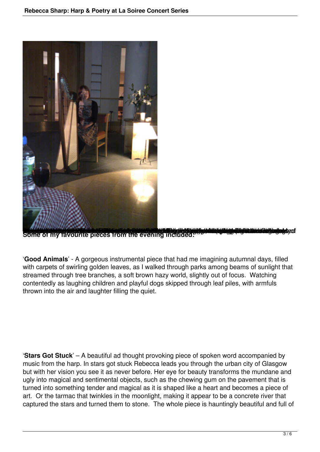

Some of my favourite pieces from the evening included.

'**Good Animals**' - A gorgeous instrumental piece that had me imagining autumnal days, filled with carpets of swirling golden leaves, as I walked through parks among beams of sunlight that streamed through tree branches, a soft brown hazy world, slightly out of focus. Watching contentedly as laughing children and playful dogs skipped through leaf piles, with armfuls thrown into the air and laughter filling the quiet.

'**Stars Got Stuck**' – A beautiful ad thought provoking piece of spoken word accompanied by music from the harp. In stars got stuck Rebecca leads you through the urban city of Glasgow but with her vision you see it as never before. Her eye for beauty transforms the mundane and ugly into magical and sentimental objects, such as the chewing gum on the pavement that is turned into something tender and magical as it is shaped like a heart and becomes a piece of art. Or the tarmac that twinkles in the moonlight, making it appear to be a concrete river that captured the stars and turned them to stone. The whole piece is hauntingly beautiful and full of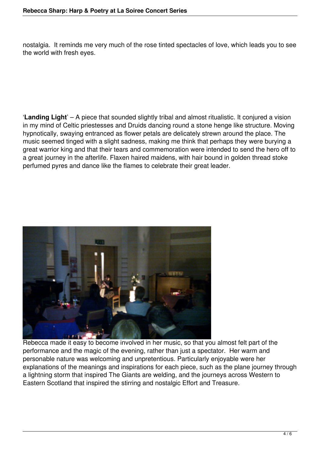nostalgia. It reminds me very much of the rose tinted spectacles of love, which leads you to see the world with fresh eyes.

'**Landing Light**' – A piece that sounded slightly tribal and almost ritualistic. It conjured a vision in my mind of Celtic priestesses and Druids dancing round a stone henge like structure. Moving hypnotically, swaying entranced as flower petals are delicately strewn around the place. The music seemed tinged with a slight sadness, making me think that perhaps they were burying a great warrior king and that their tears and commemoration were intended to send the hero off to a great journey in the afterlife. Flaxen haired maidens, with hair bound in golden thread stoke perfumed pyres and dance like the flames to celebrate their great leader.



Rebecca made it easy to become involved in her music, so that you almost felt part of the performance and the magic of the evening, rather than just a spectator. Her warm and personable nature was welcoming and unpretentious. Particularly enjoyable were her explanations of the meanings and inspirations for each piece, such as the plane journey through a lightning storm that inspired The Giants are welding, and the journeys across Western to Eastern Scotland that inspired the stirring and nostalgic Effort and Treasure.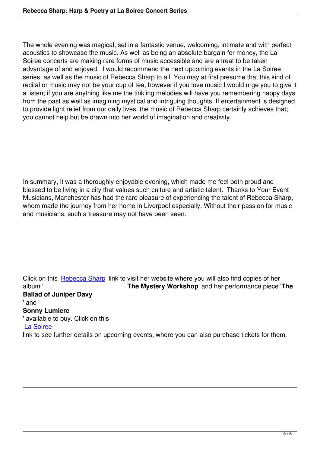The whole evening was magical, set in a fantastic venue, welcoming, intimate and with perfect acoustics to showcase the music. As well as being an absolute bargain for money, the La Soiree concerts are making rare forms of music accessible and are a treat to be taken advantage of and enjoyed. I would recommend the next upcoming events in the La Soiree series, as well as the music of Rebecca Sharp to all. You may at first presume that this kind of recital or music may not be your cup of tea, however if you love music I would urge you to give it a listen; if you are anything like me the tinkling melodies will have you remembering happy days from the past as well as imagining mystical and intriguing thoughts. If entertainment is designed to provide light relief from our daily lives, the music of Rebecca Sharp certainly achieves that; you cannot help but be drawn into her world of imagination and creativity.

In summary, it was a thoroughly enjoyable evening, which made me feel both proud and blessed to be living in a city that values such culture and artistic talent. Thanks to Your Event Musicians, Manchester has had the rare pleasure of experiencing the talent of Rebecca Sharp, whom made the journey from her home in Liverpool especially. Without their passion for music and musicians, such a treasure may not have been seen.

Click on this Rebecca Sharp link to visit her website where you will also find copies of her album ' **The Mystery Workshop**' and her performance piece '**The Ballad of Juniper Davy** ' and ' **Sonny Lumi[ere](http://www.rebeccajoysharp.com)** ' available to buy. Click on this La Soiree link to see further details on upcoming events, where you can also purchase tickets for them.